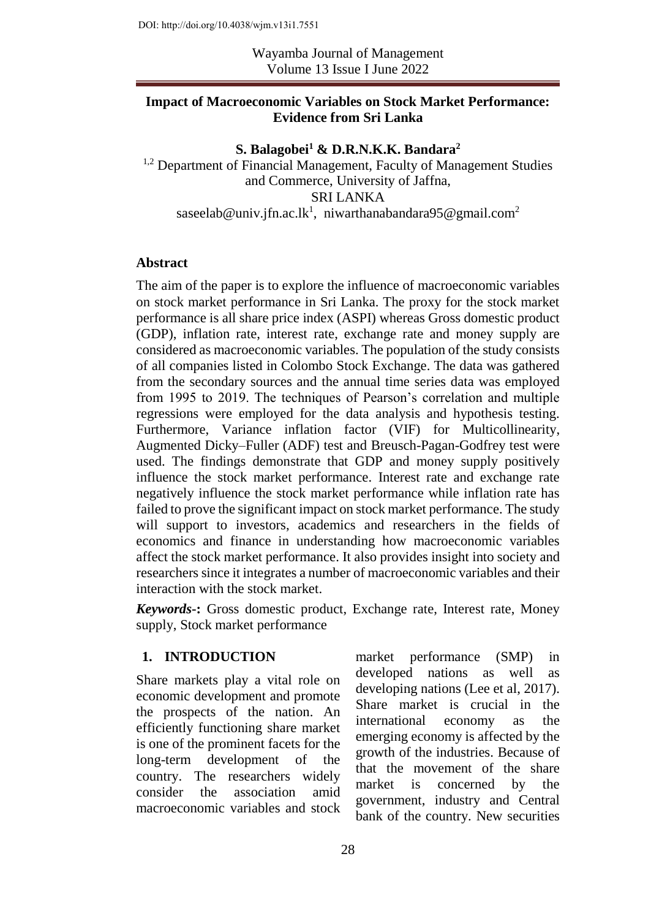Wayamba Journal of Management Volume 13 Issue I June 2022

#### **Impact of Macroeconomic Variables on Stock Market Performance: Evidence from Sri Lanka**

**S. Balagobei<sup>1</sup> & D.R.N.K.K. Bandara<sup>2</sup>**

<sup>1,2</sup> Department of Financial Management, Faculty of Management Studies and Commerce, University of Jaffna, SRI LANKA [saseelab@univ.jfn.ac.lk](mailto:saseelab@univ.jfn.ac.lk)<sup>1</sup>, [niwarthanabandara95@gmail.com](mailto:niwarthanabandara95@gmail.com2)<sup>2</sup>

#### **Abstract**

The aim of the paper is to explore the influence of macroeconomic variables on stock market performance in Sri Lanka. The proxy for the stock market performance is all share price index (ASPI) whereas Gross domestic product (GDP), inflation rate, interest rate, exchange rate and money supply are considered as macroeconomic variables. The population of the study consists of all companies listed in Colombo Stock Exchange. The data was gathered from the secondary sources and the annual time series data was employed from 1995 to 2019. The techniques of Pearson's correlation and multiple regressions were employed for the data analysis and hypothesis testing. Furthermore, Variance inflation factor (VIF) for Multicollinearity, Augmented Dicky–Fuller (ADF) test and Breusch-Pagan-Godfrey test were used. The findings demonstrate that GDP and money supply positively influence the stock market performance. Interest rate and exchange rate negatively influence the stock market performance while inflation rate has failed to prove the significant impact on stock market performance. The study will support to investors, academics and researchers in the fields of economics and finance in understanding how macroeconomic variables affect the stock market performance. It also provides insight into society and researchers since it integrates a number of macroeconomic variables and their interaction with the stock market.

*Keywords***-:** Gross domestic product, Exchange rate, Interest rate, Money supply, Stock market performance

### **1. INTRODUCTION**

Share markets play a vital role on economic development and promote the prospects of the nation. An efficiently functioning share market is one of the prominent facets for the long-term development of the country. The researchers widely consider the association amid macroeconomic variables and stock

market performance (SMP) in developed nations as well as developing nations (Lee et al, 2017). Share market is crucial in the international economy as the emerging economy is affected by the growth of the industries. Because of that the movement of the share market is concerned by the government, industry and Central bank of the country. New securities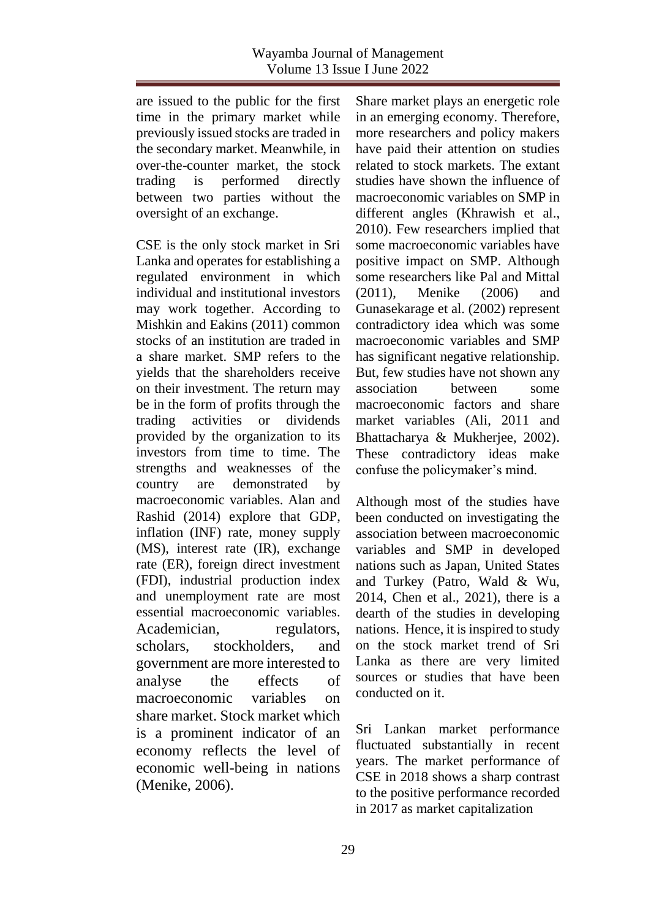are issued to the public for the first time in the primary market while previously issued stocks are traded in the secondary market. Meanwhile, in over-the-counter market, the stock trading is performed directly between two parties without the oversight of an exchange.

CSE is the only stock market in Sri Lanka and operates for establishing a regulated environment in which individual and institutional investors may work together. According to Mishkin and Eakins (2011) common stocks of an institution are traded in a share market. SMP refers to the yields that the shareholders receive on their investment. The return may be in the form of profits through the trading activities or dividends provided by the organization to its investors from time to time. The strengths and weaknesses of the country are demonstrated by macroeconomic variables. Alan and Rashid (2014) explore that GDP, inflation (INF) rate, money supply (MS), interest rate (IR), exchange rate (ER), foreign direct investment (FDI), industrial production index and unemployment rate are most essential macroeconomic variables. Academician, regulators, scholars, stockholders, and government are more interested to analyse the effects of macroeconomic variables on share market. Stock market which is a prominent indicator of an economy reflects the level of economic well-being in nations (Menike, 2006).

Share market plays an energetic role in an emerging economy. Therefore, more researchers and policy makers have paid their attention on studies related to stock markets. The extant studies have shown the influence of macroeconomic variables on SMP in different angles (Khrawish et al., 2010). Few researchers implied that some macroeconomic variables have positive impact on SMP. Although some researchers like Pal and Mittal (2011), Menike (2006) and Gunasekarage et al. (2002) represent contradictory idea which was some macroeconomic variables and SMP has significant negative relationship. But, few studies have not shown any association between some macroeconomic factors and share market variables (Ali, 2011 and Bhattacharya & Mukherjee, 2002). These contradictory ideas make confuse the policymaker's mind.

Although most of the studies have been conducted on investigating the association between macroeconomic variables and SMP in developed nations such as Japan, United States and Turkey (Patro, Wald & Wu, 2014, Chen et al., 2021), there is a dearth of the studies in developing nations. Hence, it is inspired to study on the stock market trend of Sri Lanka as there are very limited sources or studies that have been conducted on it.

Sri Lankan market performance fluctuated substantially in recent years. The market performance of CSE in 2018 shows a sharp contrast to the positive performance recorded in 2017 as market capitalization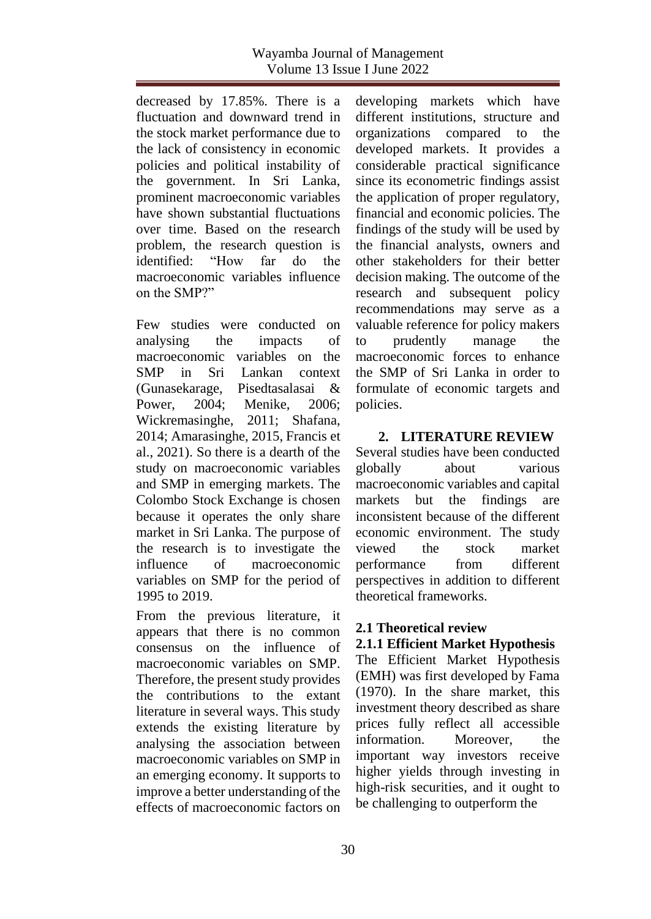decreased by 17.85%. There is a fluctuation and downward trend in the stock market performance due to the lack of consistency in economic policies and political instability of the government. In Sri Lanka, prominent macroeconomic variables have shown substantial fluctuations over time. Based on the research problem, the research question is identified: "How far do the macroeconomic variables influence on the SMP?"

Few studies were conducted on analysing the impacts of macroeconomic variables on the SMP in Sri Lankan context (Gunasekarage, Pisedtasalasai & Power, 2004; Menike, 2006; Wickremasinghe, 2011; Shafana, 2014; Amarasinghe, 2015, Francis et al., 2021). So there is a dearth of the study on macroeconomic variables and SMP in emerging markets. The Colombo Stock Exchange is chosen because it operates the only share market in Sri Lanka. The purpose of the research is to investigate the influence of macroeconomic variables on SMP for the period of 1995 to 2019.

From the previous literature, it appears that there is no common consensus on the influence of macroeconomic variables on SMP. Therefore, the present study provides the contributions to the extant literature in several ways. This study extends the existing literature by analysing the association between macroeconomic variables on SMP in an emerging economy. It supports to improve a better understanding of the effects of macroeconomic factors on

developing markets which have different institutions, structure and organizations compared to the developed markets. It provides a considerable practical significance since its econometric findings assist the application of proper regulatory, financial and economic policies. The findings of the study will be used by the financial analysts, owners and other stakeholders for their better decision making. The outcome of the research and subsequent policy recommendations may serve as a valuable reference for policy makers to prudently manage the macroeconomic forces to enhance the SMP of Sri Lanka in order to formulate of economic targets and policies.

### **2. LITERATURE REVIEW**

Several studies have been conducted globally about various macroeconomic variables and capital markets but the findings are inconsistent because of the different economic environment. The study viewed the stock market performance from different perspectives in addition to different theoretical frameworks.

### **2.1 Theoretical review 2.1.1 Efficient Market Hypothesis**

The Efficient Market Hypothesis (EMH) was first developed by Fama (1970). In the share market, this investment theory described as share prices fully reflect all accessible information. Moreover, the important way investors receive higher yields through investing in high-risk securities, and it ought to be challenging to outperform the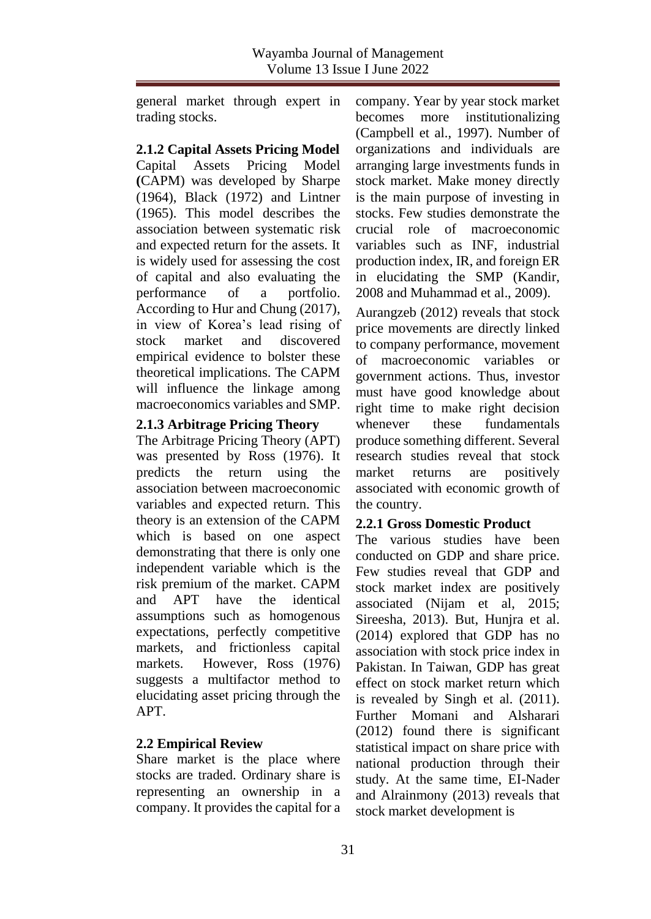general market through expert in trading stocks.

### **2.1.2 Capital Assets Pricing Model**

Capital Assets Pricing Model **(**CAPM) was developed by Sharpe (1964), Black (1972) and Lintner (1965). This model describes the association between systematic risk and expected return for the assets. It is widely used for assessing the cost of capital and also evaluating the performance of a portfolio. According to Hur and Chung (2017), in view of Korea's lead rising of stock market and discovered empirical evidence to bolster these theoretical implications. The CAPM will influence the linkage among macroeconomics variables and SMP.

### **2.1.3 Arbitrage Pricing Theory**

The Arbitrage Pricing Theory (APT) was presented by Ross (1976). It predicts the return using the association between macroeconomic variables and expected return. This theory is an extension of the CAPM which is based on one aspect demonstrating that there is only one independent variable which is the risk premium of the market. CAPM and APT have the identical assumptions such as homogenous expectations, perfectly competitive markets, and frictionless capital markets. However, Ross (1976) suggests a multifactor method to elucidating asset pricing through the APT.

### **2.2 Empirical Review**

Share market is the place where stocks are traded. Ordinary share is representing an ownership in a company. It provides the capital for a company. Year by year stock market becomes more institutionalizing (Campbell et al., 1997). Number of organizations and individuals are arranging large investments funds in stock market. Make money directly is the main purpose of investing in stocks. Few studies demonstrate the crucial role of macroeconomic variables such as INF, industrial production index, IR, and foreign ER in elucidating the SMP (Kandir, 2008 and Muhammad et al., 2009).

Aurangzeb (2012) reveals that stock price movements are directly linked to company performance, movement of macroeconomic variables or government actions. Thus, investor must have good knowledge about right time to make right decision whenever these fundamentals produce something different. Several research studies reveal that stock market returns are positively associated with economic growth of the country.

# **2.2.1 Gross Domestic Product**

The various studies have been conducted on GDP and share price. Few studies reveal that GDP and stock market index are positively associated (Nijam et al, 2015; Sireesha, 2013). But, Hunjra et al. (2014) explored that GDP has no association with stock price index in Pakistan. In Taiwan, GDP has great effect on stock market return which is revealed by Singh et al. (2011). Further Momani and Alsharari (2012) found there is significant statistical impact on share price with national production through their study. At the same time, EI-Nader and Alrainmony (2013) reveals that stock market development is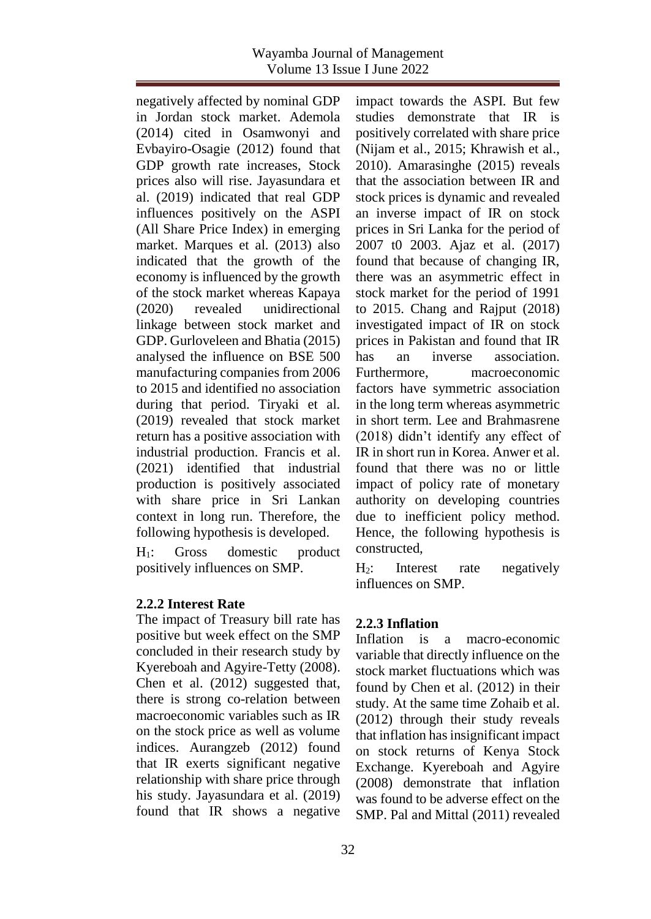negatively affected by nominal GDP in Jordan stock market. Ademola (2014) cited in Osamwonyi and Evbayiro-Osagie (2012) found that GDP growth rate increases, Stock prices also will rise. Jayasundara et al. (2019) indicated that real GDP influences positively on the ASPI (All Share Price Index) in emerging market. Marques et al. (2013) also indicated that the growth of the economy is influenced by the growth of the stock market whereas Kapaya (2020) revealed unidirectional linkage between stock market and GDP. Gurloveleen and Bhatia (2015) analysed the influence on BSE 500 manufacturing companies from 2006 to 2015 and identified no association during that period. Tiryaki et al. (2019) revealed that stock market return has a positive association with industrial production. Francis et al. (2021) identified that industrial production is positively associated with share price in Sri Lankan context in long run. Therefore, the following hypothesis is developed.

H1: Gross domestic product positively influences on SMP.

### **2.2.2 Interest Rate**

The impact of Treasury bill rate has positive but week effect on the SMP concluded in their research study by Kyereboah and Agyire-Tetty (2008). Chen et al. (2012) suggested that, there is strong co-relation between macroeconomic variables such as IR on the stock price as well as volume indices. Aurangzeb (2012) found that IR exerts significant negative relationship with share price through his study. Jayasundara et al. (2019) found that IR shows a negative

impact towards the ASPI. But few studies demonstrate that IR is positively correlated with share price (Nijam et al., 2015; Khrawish et al., 2010). Amarasinghe (2015) reveals that the association between IR and stock prices is dynamic and revealed an inverse impact of IR on stock prices in Sri Lanka for the period of 2007 t0 2003. Ajaz et al. (2017) found that because of changing IR, there was an asymmetric effect in stock market for the period of 1991 to 2015. Chang and Rajput (2018) investigated impact of IR on stock prices in Pakistan and found that IR has an inverse association. Furthermore, macroeconomic factors have symmetric association in the long term whereas asymmetric in short term. Lee and Brahmasrene (2018) didn't identify any effect of IR in short run in Korea. Anwer et al. found that there was no or little impact of policy rate of monetary authority on developing countries due to inefficient policy method. Hence, the following hypothesis is constructed,

H2: Interest rate negatively influences on SMP.

# **2.2.3 Inflation**

Inflation is a macro-economic variable that directly influence on the stock market fluctuations which was found by Chen et al. (2012) in their study. At the same time Zohaib et al. (2012) through their study reveals that inflation has insignificant impact on stock returns of Kenya Stock Exchange. Kyereboah and Agyire (2008) demonstrate that inflation was found to be adverse effect on the SMP. Pal and Mittal (2011) revealed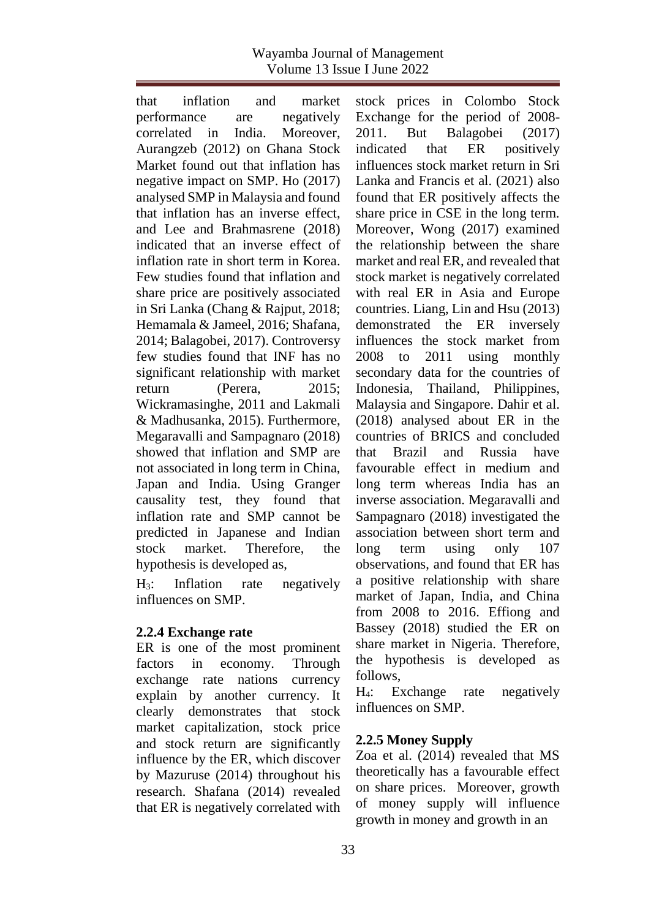that inflation and market performance are negatively correlated in India. Moreover, Aurangzeb (2012) on Ghana Stock Market found out that inflation has negative impact on SMP. Ho (2017) analysed SMP in Malaysia and found that inflation has an inverse effect, and Lee and Brahmasrene (2018) indicated that an inverse effect of inflation rate in short term in Korea. Few studies found that inflation and share price are positively associated in Sri Lanka (Chang & Rajput, 2018; Hemamala & Jameel, 2016; Shafana, 2014; Balagobei, 2017). Controversy few studies found that INF has no significant relationship with market return (Perera, 2015; Wickramasinghe, 2011 and Lakmali & Madhusanka, 2015). Furthermore, Megaravalli and Sampagnaro (2018) showed that inflation and SMP are not associated in long term in China, Japan and India. Using Granger causality test, they found that inflation rate and SMP cannot be predicted in Japanese and Indian stock market. Therefore, the hypothesis is developed as,

H3: Inflation rate negatively influences on SMP.

### **2.2.4 Exchange rate**

ER is one of the most prominent factors in economy. Through exchange rate nations currency explain by another currency. It clearly demonstrates that stock market capitalization, stock price and stock return are significantly influence by the ER, which discover by Mazuruse (2014) throughout his research. Shafana (2014) revealed that ER is negatively correlated with

stock prices in Colombo Stock Exchange for the period of 2008- 2011. But Balagobei (2017) indicated that ER positively influences stock market return in Sri Lanka and Francis et al. (2021) also found that ER positively affects the share price in CSE in the long term. Moreover, Wong (2017) examined the relationship between the share market and real ER, and revealed that stock market is negatively correlated with real ER in Asia and Europe countries. Liang, Lin and Hsu (2013) demonstrated the ER inversely influences the stock market from 2008 to 2011 using monthly secondary data for the countries of Indonesia, Thailand, Philippines, Malaysia and Singapore. Dahir et al. (2018) analysed about ER in the countries of BRICS and concluded that Brazil and Russia have favourable effect in medium and long term whereas India has an inverse association. Megaravalli and Sampagnaro (2018) investigated the association between short term and long term using only 107 observations, and found that ER has a positive relationship with share market of Japan, India, and China from 2008 to 2016. Effiong and Bassey (2018) studied the ER on share market in Nigeria. Therefore, the hypothesis is developed as follows,

H4: Exchange rate negatively influences on SMP.

# **2.2.5 Money Supply**

Zoa et al. (2014) revealed that MS theoretically has a favourable effect on share prices. Moreover, growth of money supply will influence growth in money and growth in an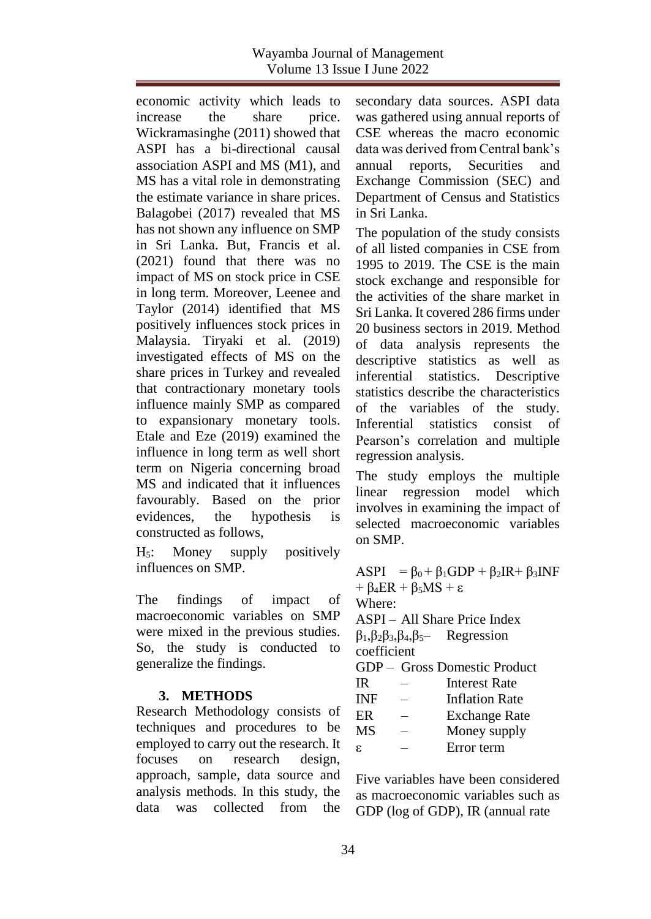economic activity which leads to increase the share price. Wickramasinghe (2011) showed that ASPI has a bi-directional causal association ASPI and MS (M1), and MS has a vital role in demonstrating the estimate variance in share prices. Balagobei (2017) revealed that MS has not shown any influence on SMP in Sri Lanka. But, Francis et al. (2021) found that there was no impact of MS on stock price in CSE in long term. Moreover, Leenee and Taylor (2014) identified that MS positively influences stock prices in Malaysia. Tiryaki et al. (2019) investigated effects of MS on the share prices in Turkey and revealed that contractionary monetary tools influence mainly SMP as compared to expansionary monetary tools. Etale and Eze (2019) examined the influence in long term as well short term on Nigeria concerning broad MS and indicated that it influences favourably. Based on the prior evidences, the hypothesis is constructed as follows,

H5: Money supply positively influences on SMP.

The findings of impact of macroeconomic variables on SMP were mixed in the previous studies. So, the study is conducted to generalize the findings.

# **3. METHODS**

Research Methodology consists of techniques and procedures to be employed to carry out the research. It focuses on research design, approach, sample, data source and analysis methods. In this study, the data was collected from the

secondary data sources. ASPI data was gathered using annual reports of CSE whereas the macro economic data was derived from Central bank's annual reports, Securities and Exchange Commission (SEC) and Department of Census and Statistics in Sri Lanka.

The population of the study consists of all listed companies in CSE from 1995 to 2019. The CSE is the main stock exchange and responsible for the activities of the share market in Sri Lanka. It covered 286 firms under 20 business sectors in 2019. Method of data analysis represents the descriptive statistics as well as inferential statistics. Descriptive statistics describe the characteristics of the variables of the study. Inferential statistics consist of Pearson's correlation and multiple regression analysis.

The study employs the multiple linear regression model which involves in examining the impact of selected macroeconomic variables on SMP.

ASPI =  $\beta_0$  +  $\beta_1$ GDP +  $\beta_2$ IR +  $\beta_3$ INF  $+ \beta_4 ER + \beta_5 MS + \epsilon$ Where: ASPI – All Share Price Index  $\beta_1$ , $\beta_2$  $\beta_3$ , $\beta_4$ , $\beta_5$  Regression coefficient GDP – Gross Domestic Product IR – Interest Rate INF – Inflation Rate ER – Exchange Rate MS – Money supply ε – Error term

Five variables have been considered as macroeconomic variables such as GDP (log of GDP), IR (annual rate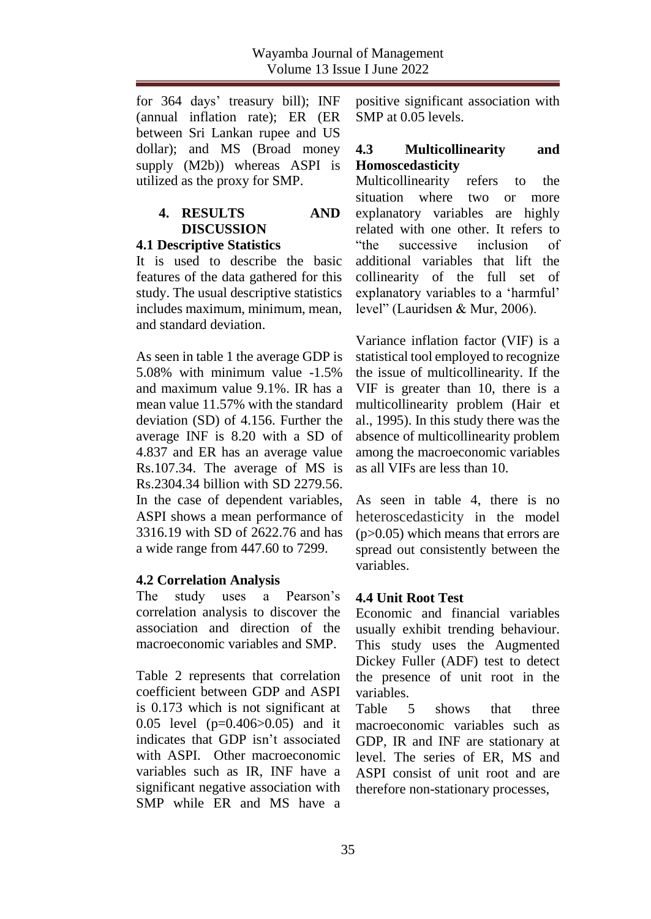for 364 days' treasury bill); INF (annual inflation rate); ER (ER between Sri Lankan rupee and US dollar); and MS (Broad money supply (M2b)) whereas ASPI is utilized as the proxy for SMP.

# **4. RESULTS AND DISCUSSION**

#### **4.1 Descriptive Statistics**

It is used to describe the basic features of the data gathered for this study. The usual descriptive statistics includes maximum, minimum, mean, and standard deviation.

As seen in table 1 the average GDP is 5.08% with minimum value -1.5% and maximum value 9.1%. IR has a mean value 11.57% with the standard deviation (SD) of 4.156. Further the average INF is 8.20 with a SD of 4.837 and ER has an average value Rs.107.34. The average of MS is Rs.2304.34 billion with SD 2279.56. In the case of dependent variables, ASPI shows a mean performance of 3316.19 with SD of 2622.76 and has a wide range from 447.60 to 7299.

### **4.2 Correlation Analysis**

The study uses a Pearson's correlation analysis to discover the association and direction of the macroeconomic variables and SMP.

Table 2 represents that correlation coefficient between GDP and ASPI is 0.173 which is not significant at 0.05 level (p=0.406>0.05) and it indicates that GDP isn't associated with ASPI. Other macroeconomic variables such as IR, INF have a significant negative association with SMP while ER and MS have a positive significant association with SMP at 0.05 levels.

#### **4.3 Multicollinearity and Homoscedasticity**

Multicollinearity refers to the situation where two or more explanatory variables are highly related with one other. It refers to "the successive inclusion of additional variables that lift the collinearity of the full set of explanatory variables to a 'harmful' level" (Lauridsen & Mur, 2006).

Variance inflation factor (VIF) is a statistical tool employed to recognize the issue of multicollinearity. If the VIF is greater than 10, there is a multicollinearity problem (Hair et al., 1995). In this study there was the absence of multicollinearity problem among the macroeconomic variables as all VIFs are less than 10.

As seen in table 4, there is no heteroscedasticity in the model (p>0.05) which means that errors are spread out consistently between the variables.

### **4.4 Unit Root Test**

Economic and financial variables usually exhibit trending behaviour. This study uses the Augmented Dickey Fuller (ADF) test to detect the presence of unit root in the variables.

Table 5 shows that three macroeconomic variables such as GDP, IR and INF are stationary at level. The series of ER, MS and ASPI consist of unit root and are therefore non-stationary processes,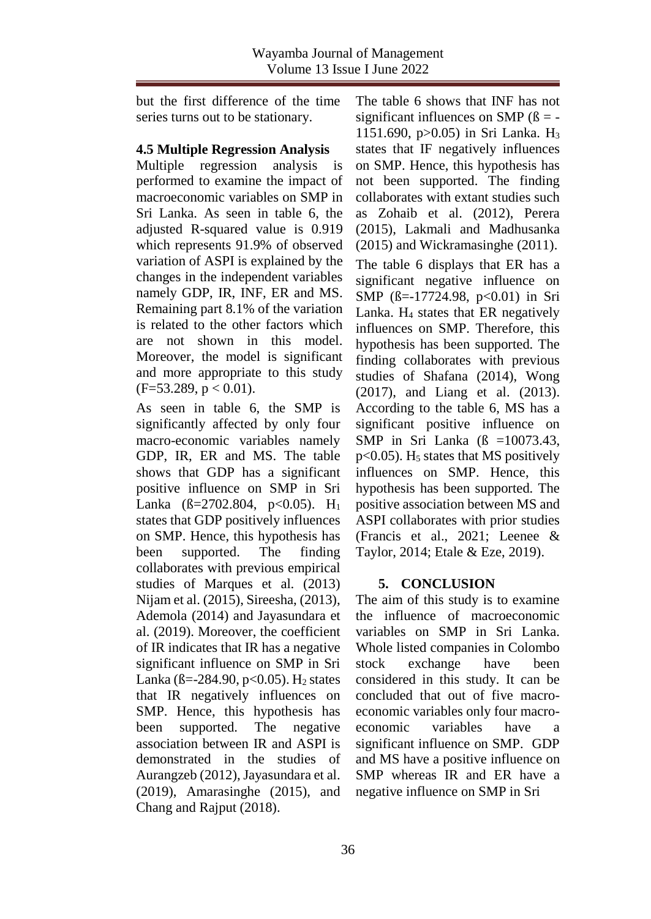but the first difference of the time series turns out to be stationary.

### **4.5 Multiple Regression Analysis**

Multiple regression analysis is performed to examine the impact of macroeconomic variables on SMP in Sri Lanka. As seen in table 6, the adjusted R-squared value is 0.919 which represents 91.9% of observed variation of ASPI is explained by the changes in the independent variables namely GDP, IR, INF, ER and MS. Remaining part 8.1% of the variation is related to the other factors which are not shown in this model. Moreover, the model is significant and more appropriate to this study  $(F=53.289, p < 0.01)$ .

As seen in table 6, the SMP is significantly affected by only four macro-economic variables namely GDP, IR, ER and MS. The table shows that GDP has a significant positive influence on SMP in Sri Lanka ( $\beta = 2702.804$ ,  $p < 0.05$ ). H<sub>1</sub> states that GDP positively influences on SMP. Hence, this hypothesis has been supported. The finding collaborates with previous empirical studies of Marques et al. (2013) Nijam et al. (2015), Sireesha, (2013), Ademola (2014) and Jayasundara et al. (2019). Moreover, the coefficient of IR indicates that IR has a negative significant influence on SMP in Sri Lanka ( $\beta = -284.90$ ,  $p < 0.05$ ). H<sub>2</sub> states that IR negatively influences on SMP. Hence, this hypothesis has been supported. The negative association between IR and ASPI is demonstrated in the studies of Aurangzeb (2012), Jayasundara et al. (2019), Amarasinghe (2015), and Chang and Rajput (2018).

The table 6 shows that INF has not significant influences on SMP  $(\beta = -$ 1151.690, p>0.05) in Sri Lanka. H<sup>3</sup> states that IF negatively influences on SMP. Hence, this hypothesis has not been supported. The finding collaborates with extant studies such as Zohaib et al. (2012), Perera (2015), Lakmali and Madhusanka (2015) and Wickramasinghe (2011). The table 6 displays that ER has a significant negative influence on SMP  $(\beta = -17724.98, \ p < 0.01)$  in Sri Lanka.  $H_4$  states that ER negatively influences on SMP. Therefore, this hypothesis has been supported. The finding collaborates with previous studies of Shafana (2014), Wong (2017), and Liang et al. (2013). According to the table 6, MS has a significant positive influence on SMP in Sri Lanka  $(\beta =10073.43)$ ,  $p<0.05$ ). H<sub>5</sub> states that MS positively influences on SMP. Hence, this hypothesis has been supported. The positive association between MS and ASPI collaborates with prior studies (Francis et al., 2021; Leenee & Taylor, 2014; Etale & Eze, 2019).

### **5. CONCLUSION**

The aim of this study is to examine the influence of macroeconomic variables on SMP in Sri Lanka. Whole listed companies in Colombo stock exchange have been considered in this study. It can be concluded that out of five macroeconomic variables only four macroeconomic variables have a significant influence on SMP. GDP and MS have a positive influence on SMP whereas IR and ER have a negative influence on SMP in Sri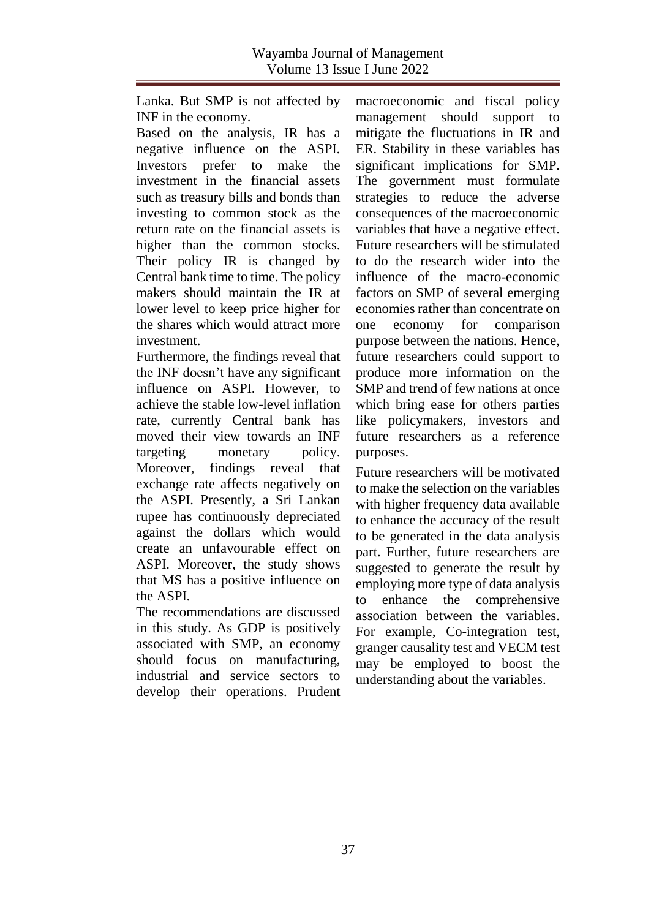Lanka. But SMP is not affected by INF in the economy.

Based on the analysis, IR has a negative influence on the ASPI. Investors prefer to make the investment in the financial assets such as treasury bills and bonds than investing to common stock as the return rate on the financial assets is higher than the common stocks. Their policy IR is changed by Central bank time to time. The policy makers should maintain the IR at lower level to keep price higher for the shares which would attract more investment.

Furthermore, the findings reveal that the INF doesn't have any significant influence on ASPI. However, to achieve the stable low-level inflation rate, currently Central bank has moved their view towards an INF targeting monetary policy. Moreover, findings reveal that exchange rate affects negatively on the ASPI. Presently, a Sri Lankan rupee has continuously depreciated against the dollars which would create an unfavourable effect on ASPI. Moreover, the study shows that MS has a positive influence on the ASPI.

The recommendations are discussed in this study. As GDP is positively associated with SMP, an economy should focus on manufacturing, industrial and service sectors to develop their operations. Prudent

macroeconomic and fiscal policy management should support to mitigate the fluctuations in IR and ER. Stability in these variables has significant implications for SMP. The government must formulate strategies to reduce the adverse consequences of the macroeconomic variables that have a negative effect. Future researchers will be stimulated to do the research wider into the influence of the macro-economic factors on SMP of several emerging economies rather than concentrate on one economy for comparison purpose between the nations. Hence, future researchers could support to produce more information on the SMP and trend of few nations at once which bring ease for others parties like policymakers, investors and future researchers as a reference purposes.

Future researchers will be motivated to make the selection on the variables with higher frequency data available to enhance the accuracy of the result to be generated in the data analysis part. Further, future researchers are suggested to generate the result by employing more type of data analysis to enhance the comprehensive association between the variables. For example, Co-integration test, granger causality test and VECM test may be employed to boost the understanding about the variables.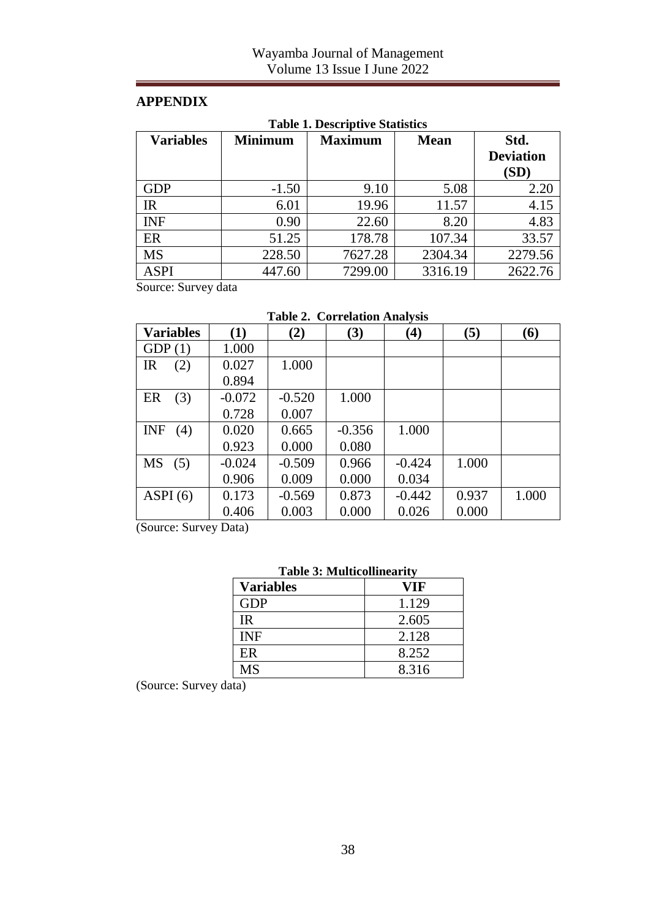# **APPENDIX**

| <b>Table 1. Descriptive Statistics</b> |                |                |             |                                  |  |  |  |
|----------------------------------------|----------------|----------------|-------------|----------------------------------|--|--|--|
| <b>Variables</b>                       | <b>Minimum</b> | <b>Maximum</b> | <b>Mean</b> | Std.<br><b>Deviation</b><br>(SD) |  |  |  |
| GDP                                    | $-1.50$        | 9.10           | 5.08        | 2.20                             |  |  |  |
| IR                                     | 6.01           | 19.96          | 11.57       | 4.15                             |  |  |  |
| <b>INF</b>                             | 0.90           | 22.60          | 8.20        | 4.83                             |  |  |  |
| ER                                     | 51.25          | 178.78         | 107.34      | 33.57                            |  |  |  |
| <b>MS</b>                              | 228.50         | 7627.28        | 2304.34     | 2279.56                          |  |  |  |
| <b>ASPI</b>                            | 447.60         | 7299.00        | 3316.19     | 2622.76                          |  |  |  |

Source: Survey data

|  | <b>Table 2. Correlation Analysis</b> |  |
|--|--------------------------------------|--|
|  |                                      |  |

| <b>Variables</b>   | (1)      | (2)      | (3)      | (4)      | (5)   | (6)   |
|--------------------|----------|----------|----------|----------|-------|-------|
| GDP(1)             | 1.000    |          |          |          |       |       |
| $_{\rm IR}$<br>(2) | 0.027    | 1.000    |          |          |       |       |
|                    | 0.894    |          |          |          |       |       |
| ER<br>(3)          | $-0.072$ | $-0.520$ | 1.000    |          |       |       |
|                    | 0.728    | 0.007    |          |          |       |       |
| <b>INF</b><br>(4)  | 0.020    | 0.665    | $-0.356$ | 1.000    |       |       |
|                    | 0.923    | 0.000    | 0.080    |          |       |       |
| MS<br>(5)          | $-0.024$ | $-0.509$ | 0.966    | $-0.424$ | 1.000 |       |
|                    | 0.906    | 0.009    | 0.000    | 0.034    |       |       |
| ASPI(6)            | 0.173    | $-0.569$ | 0.873    | $-0.442$ | 0.937 | 1.000 |
|                    | 0.406    | 0.003    | 0.000    | 0.026    | 0.000 |       |

(Source: Survey Data)

| <b>Table 3: Multicollinearity</b> |  |
|-----------------------------------|--|
|                                   |  |

| <b>Variables</b> | VIF   |
|------------------|-------|
| GDP              | 1.129 |
| IR               | 2.605 |
| <b>INF</b>       | 2.128 |
| ER.              | 8.252 |
| МS               | 8.316 |

(Source: Survey data)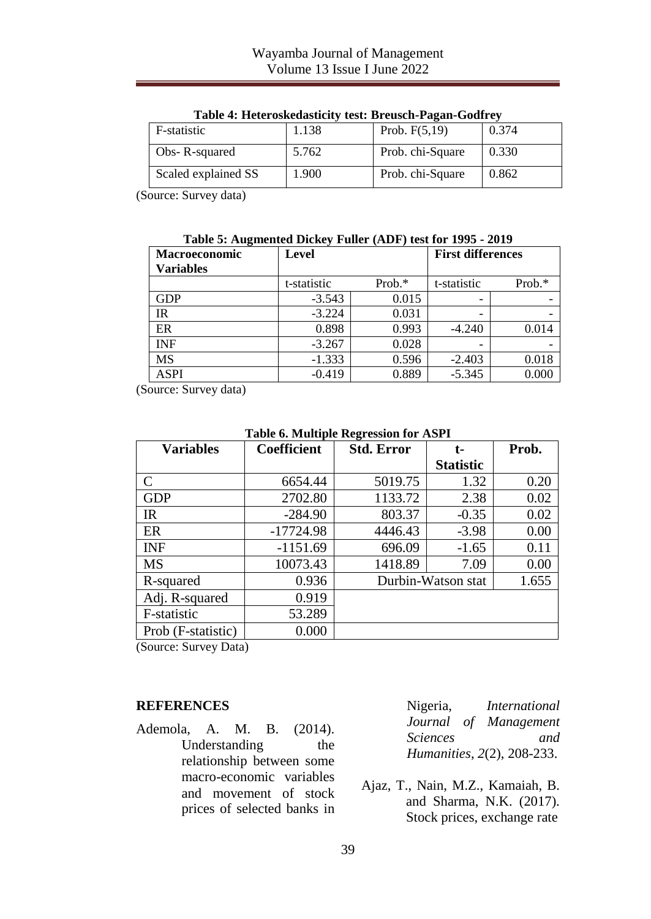|                     |                        |       | TANIL II TILIKI QUIRLAMUNILII ILUU IJI LAULII TALMII QUMII L |       |  |  |
|---------------------|------------------------|-------|--------------------------------------------------------------|-------|--|--|
|                     | F-statistic            | 1.138 | Prob. $F(5,19)$                                              | 0.374 |  |  |
|                     | Obs-R-squared<br>5.762 |       | Prob. chi-Square                                             | 0.330 |  |  |
| Scaled explained SS |                        | 1.900 | Prob. chi-Square                                             | 0.862 |  |  |

**Table 4: Heteroskedasticity test: Breusch-Pagan-Godfrey**

(Source: Survey data)

| Table 5: Augmented Dickey Fuller (ADF) test for 1995 - 2019 |  |  |  |  |  |
|-------------------------------------------------------------|--|--|--|--|--|
|-------------------------------------------------------------|--|--|--|--|--|

| <b>Macroeconomic</b><br><b>Variables</b> | Level       |           | <b>First differences</b> |           |  |
|------------------------------------------|-------------|-----------|--------------------------|-----------|--|
|                                          |             |           |                          |           |  |
|                                          | t-statistic | Prob. $*$ | t-statistic              | Prob. $*$ |  |
| <b>GDP</b>                               | $-3.543$    | 0.015     | -                        |           |  |
| IR                                       | $-3.224$    | 0.031     |                          |           |  |
| ER                                       | 0.898       | 0.993     | $-4.240$                 | 0.014     |  |
| <b>INF</b>                               | $-3.267$    | 0.028     |                          |           |  |
| <b>MS</b>                                | $-1.333$    | 0.596     | $-2.403$                 | 0.018     |  |
| ASPI                                     | $-0.419$    | 0.889     | $-5.345$                 | 0.000     |  |

(Source: Survey data)

| Table 0. Multiple Regression for ASFT |                    |                    |                  |       |  |  |  |
|---------------------------------------|--------------------|--------------------|------------------|-------|--|--|--|
| <b>Variables</b>                      | <b>Coefficient</b> | <b>Std. Error</b>  | t-               | Prob. |  |  |  |
|                                       |                    |                    | <b>Statistic</b> |       |  |  |  |
| C                                     | 6654.44            | 5019.75            | 1.32             | 0.20  |  |  |  |
| <b>GDP</b>                            | 2702.80            | 1133.72            | 2.38             | 0.02  |  |  |  |
| <b>IR</b>                             | $-284.90$          | 803.37             | $-0.35$          | 0.02  |  |  |  |
| ER                                    | $-17724.98$        | 4446.43            | $-3.98$          | 0.00  |  |  |  |
| <b>INF</b>                            | $-1151.69$         | 696.09             | $-1.65$          | 0.11  |  |  |  |
| <b>MS</b>                             | 10073.43           | 1418.89            | 7.09             | 0.00  |  |  |  |
| R-squared                             | 0.936              | Durbin-Watson stat |                  | 1.655 |  |  |  |
| Adj. R-squared                        | 0.919              |                    |                  |       |  |  |  |
| F-statistic                           | 53.289             |                    |                  |       |  |  |  |
| Prob (F-statistic)                    | 0.000              |                    |                  |       |  |  |  |

**Table 6. Multiple Regression for ASPI**

(Source: Survey Data)

#### **REFERENCES**

Ademola, A. M. B. (2014). Understanding the relationship between some macro-economic variables and movement of stock prices of selected banks in Nigeria, *International Journal of Management Sciences and Humanities*, *2*(2), 208-233.

Ajaz, T., Nain, M.Z., Kamaiah, B. and Sharma, N.K. (2017). Stock prices, exchange rate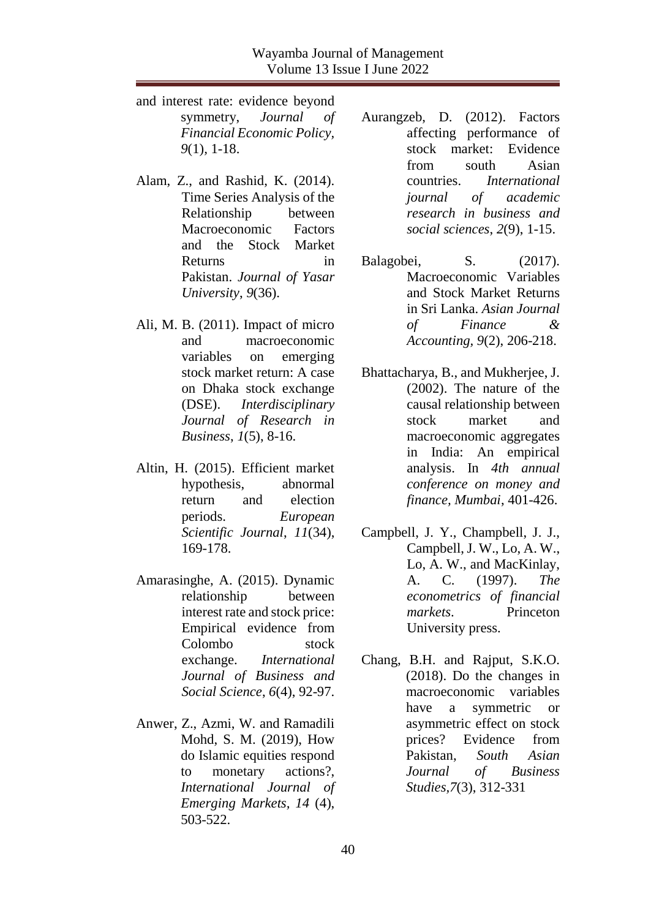- and interest rate: evidence beyond symmetry, *Journal of Financial Economic Policy, 9*(1)*,* 1-18.
- Alam, Z., and Rashid, K. (2014). Time Series Analysis of the Relationship between Macroeconomic Factors and the Stock Market Returns in Pakistan. *Journal of Yasar University*, *9*(36).
- Ali, M. B. (2011). Impact of micro and macroeconomic variables on emerging stock market return: A case on Dhaka stock exchange (DSE). *Interdisciplinary Journal of Research in Business*, *1*(5), 8-16.
- Altin, H. (2015). Efficient market hypothesis, abnormal return and election periods. *European Scientific Journal*, *11*(34), 169-178.
- Amarasinghe, A. (2015). Dynamic relationship between interest rate and stock price: Empirical evidence from Colombo stock exchange. *International Journal of Business and Social Science*, *6*(4), 92-97.
- Anwer, Z., Azmi, W. and Ramadili Mohd, S. M. (2019), How do Islamic equities respond to monetary actions?, *International Journal of Emerging Markets, 14* (4), 503-522.
- Aurangzeb, D. (2012). Factors affecting performance of stock market: Evidence from south Asian countries. *International journal of academic research in business and social sciences*, *2*(9), 1-15.
- Balagobei, S. (2017). Macroeconomic Variables and Stock Market Returns in Sri Lanka. *Asian Journal of Finance & Accounting, 9*(2), 206-218.
- Bhattacharya, B., and Mukherjee, J. (2002). The nature of the causal relationship between stock market and macroeconomic aggregates in India: An empirical analysis. In *4th annual conference on money and finance, Mumbai*, 401-426.
- Campbell, J. Y., Champbell, J. J., Campbell, J. W., Lo, A. W., Lo, A. W., and MacKinlay, A. C. (1997). *The econometrics of financial markets*. Princeton University press.
- Chang, B.H. and Rajput, S.K.O. (2018). Do the changes in macroeconomic variables have a symmetric or asymmetric effect on stock prices? Evidence from Pakistan, *South Asian Journal of Business Studies,7*(3), 312-331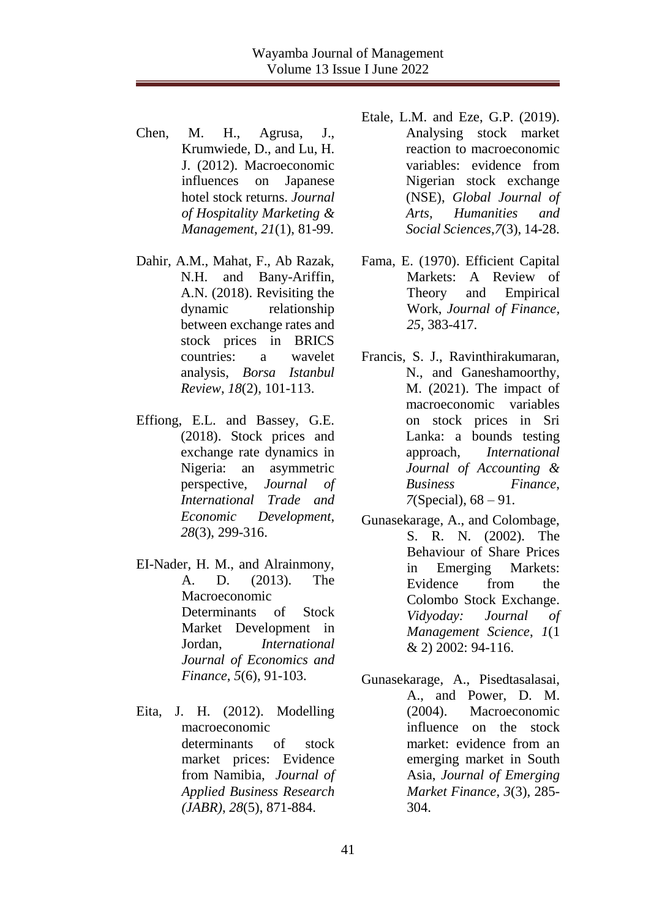- Chen, M. H., Agrusa, J., Krumwiede, D., and Lu, H. J. (2012). Macroeconomic influences on Japanese hotel stock returns. *Journal of Hospitality Marketing & Management*, *21*(1), 81-99.
- Dahir, A.M., Mahat, F., Ab Razak, N.H. and Bany-Ariffin, A.N. (2018). Revisiting the dynamic relationship between exchange rates and stock prices in BRICS countries: a wavelet analysis, *Borsa Istanbul Review*, *18*(2), 101-113.
- Effiong, E.L. and Bassey, G.E. (2018). Stock prices and exchange rate dynamics in Nigeria: an asymmetric perspective, *Journal of International Trade and Economic Development*, *28*(3), 299-316.
- EI-Nader, H. M., and Alrainmony, A. D. (2013). The Macroeconomic Determinants of Stock Market Development in Jordan, *International Journal of Economics and Finance*, *5*(6), 91-103.
- Eita, J. H. (2012). Modelling macroeconomic determinants of stock market prices: Evidence from Namibia, *Journal of Applied Business Research (JABR)*, *28*(5), 871-884.
- Etale, L.M. and Eze, G.P. (2019). Analysing stock market reaction to macroeconomic variables: evidence from Nigerian stock exchange (NSE), *Global Journal of Arts, Humanities and Social Sciences*,*7*(3), 14-28.
- Fama, E. (1970). Efficient Capital Markets: A Review of Theory and Empirical Work, *Journal of Finance, 25*, 383-417.
- Francis, S. J., Ravinthirakumaran, N., and Ganeshamoorthy, M. (2021). The impact of macroeconomic variables on stock prices in Sri Lanka: a bounds testing approach, *International Journal of Accounting & Business Finance*, *7*(Special), 68 – 91.
- Gunasekarage, A., and Colombage, S. R. N. (2002). The Behaviour of Share Prices in Emerging Markets: Evidence from the Colombo Stock Exchange. *Vidyoday: Journal of Management Science*, *1*(1 & 2) 2002: 94-116.
- Gunasekarage, A., Pisedtasalasai, A., and Power, D. M. (2004). Macroeconomic influence on the stock market: evidence from an emerging market in South Asia, *Journal of Emerging Market Finance*, *3*(3), 285- 304.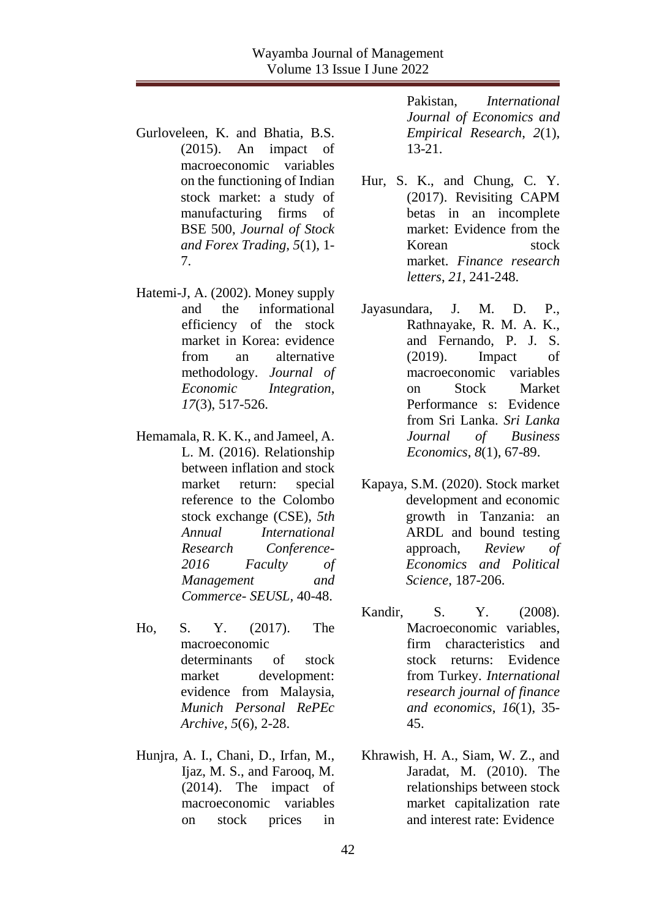- Gurloveleen, K. and Bhatia, B.S. (2015). An impact of macroeconomic variables on the functioning of Indian stock market: a study of manufacturing firms of BSE 500, *Journal of Stock and Forex Trading, 5*(1), 1- 7.
- Hatemi-J, A. (2002). Money supply and the informational efficiency of the stock market in Korea: evidence from an alternative methodology. *Journal of Economic Integration*, *17*(3), 517-526.
- Hemamala, R. K. K., and Jameel, A. L. M. (2016). Relationship between inflation and stock market return: special reference to the Colombo stock exchange (CSE), *5th Annual International Research Conference-2016 Faculty of Management and Commerce- SEUSL,* 40-48.
- Ho, S. Y. (2017). The macroeconomic determinants of stock market development: evidence from Malaysia, *Munich Personal RePEc Archive*, *5*(6), 2-28.
- Hunjra, A. I., Chani, D., Irfan, M., Ijaz, M. S., and Farooq, M. (2014). The impact of macroeconomic variables on stock prices in

Pakistan, *International Journal of Economics and Empirical Research*, *2*(1), 13-21.

- Hur, S. K., and Chung, C. Y. (2017). Revisiting CAPM betas in an incomplete market: Evidence from the Korean stock market. *Finance research letters*, *21*, 241-248.
- Jayasundara, J. M. D. P., Rathnayake, R. M. A. K., and Fernando, P. J. S. (2019). Impact of macroeconomic variables on Stock Market Performance s: Evidence from Sri Lanka. *Sri Lanka Journal of Business Economics*, *8*(1), 67-89.
- Kapaya, S.M. (2020). Stock market development and economic growth in Tanzania: an ARDL and bound testing approach, *Review of Economics and Political Science*, 187-206.
- Kandir, S. Y. (2008). Macroeconomic variables, firm characteristics and stock returns: Evidence from Turkey. *International research journal of finance and economics*, *16*(1), 35- 45.
- Khrawish, H. A., Siam, W. Z., and Jaradat, M. (2010). The relationships between stock market capitalization rate and interest rate: Evidence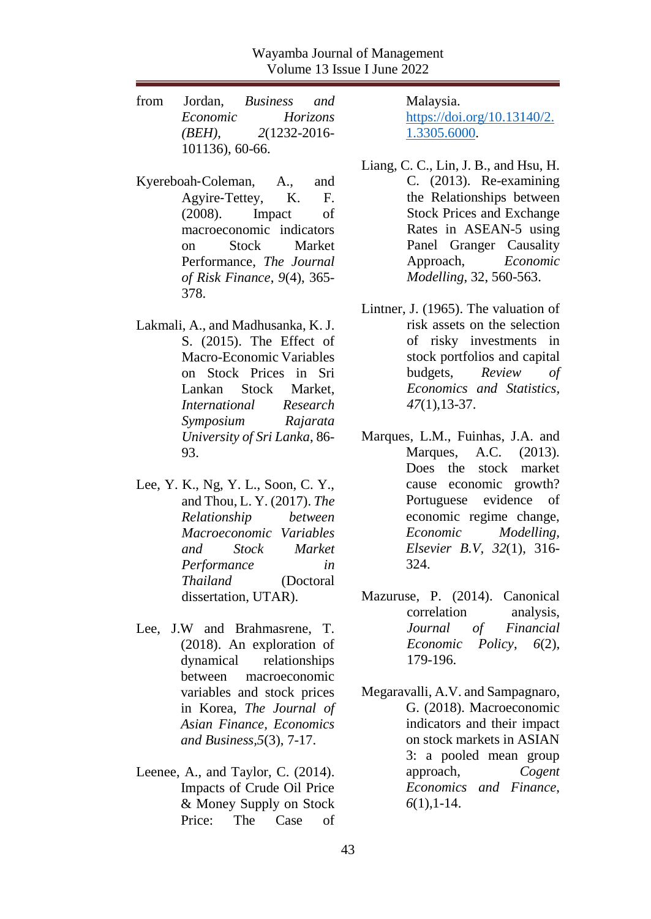- from Jordan, *Business and Economic Horizons (BEH)*, *2*(1232-2016- 101136), 60-66.
- Kyereboah‐Coleman, A., and Agyire‐Tettey, K. F. (2008). Impact of macroeconomic indicators on Stock Market Performance, *The Journal of Risk Finance*, *9*(4), 365- 378.
- Lakmali, A., and Madhusanka, K. J. S. (2015). The Effect of Macro-Economic Variables on Stock Prices in Sri Lankan Stock Market, *International Research Symposium Rajarata University of Sri Lanka*, 86- 93.
- Lee, Y. K., Ng, Y. L., Soon, C. Y., and Thou, L. Y. (2017). *The Relationship between Macroeconomic Variables and Stock Market Performance in Thailand* (Doctoral dissertation, UTAR).
- Lee, J.W and Brahmasrene, T. (2018). An exploration of dynamical relationships between macroeconomic variables and stock prices in Korea, *The Journal of Asian Finance, Economics and Business,5*(3), 7-17.
- Leenee, A., and Taylor, C. (2014). Impacts of Crude Oil Price & Money Supply on Stock Price: The Case of

Malaysia. [https://doi.org/10.13140/2.](https://doi.org/10.13140/2.1.3305.6000) [1.3305.6000.](https://doi.org/10.13140/2.1.3305.6000)

- Liang, C. C., Lin, J. B., and Hsu, H. C. (2013). Re-examining the Relationships between Stock Prices and Exchange Rates in ASEAN-5 using Panel Granger Causality Approach, *Economic Modelling*, 32, 560-563.
- Lintner, J. (1965). The valuation of risk assets on the selection of risky investments in stock portfolios and capital budgets, *Review of Economics and Statistics, 47*(1),13-37.
- Marques, L.M., Fuinhas, J.A. and Marques, A.C. (2013). Does the stock market cause economic growth? Portuguese evidence of economic regime change, *Economic Modelling, Elsevier B.V, 32*(1), 316- 324.
- Mazuruse, P. (2014). Canonical correlation analysis, *Journal of Financial Economic Policy*, *6*(2), 179-196.
- Megaravalli, A.V. and Sampagnaro, G. (2018). Macroeconomic indicators and their impact on stock markets in ASIAN 3: a pooled mean group approach, *Cogent Economics and Finance*, *6*(1),1-14.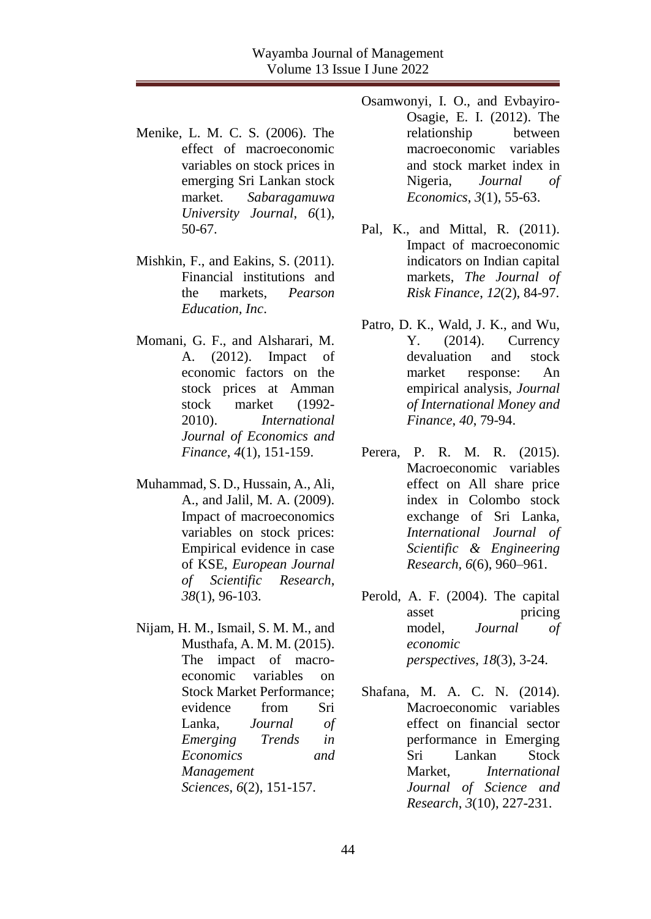- Menike, L. M. C. S. (2006). The effect of macroeconomic variables on stock prices in emerging Sri Lankan stock market. *Sabaragamuwa University Journal*, *6*(1), 50-67.
- Mishkin, F., and Eakins, S. (2011). Financial institutions and the markets, *Pearson Education, Inc*.
- Momani, G. F., and Alsharari, M. A. (2012). Impact of economic factors on the stock prices at Amman stock market (1992- 2010). *International Journal of Economics and Finance*, *4*(1), 151-159.
- Muhammad, S. D., Hussain, A., Ali, A., and Jalil, M. A. (2009). Impact of macroeconomics variables on stock prices: Empirical evidence in case of KSE, *European Journal of Scientific Research*, *38*(1), 96-103.
- Nijam, H. M., Ismail, S. M. M., and Musthafa, A. M. M. (2015). The impact of macroeconomic variables on Stock Market Performance; evidence from Sri Lanka, *Journal of Emerging Trends in Economics and Management Sciences*, *6*(2), 151-157.
- Osamwonyi, I. O., and Evbayiro-Osagie, E. I. (2012). The relationship between macroeconomic variables and stock market index in Nigeria, *Journal of Economics*, *3*(1), 55-63.
- Pal, K., and Mittal, R. (2011). Impact of macroeconomic indicators on Indian capital markets, *The Journal of Risk Finance*, *12*(2), 84-97.
- Patro, D. K., Wald, J. K., and Wu, Y. (2014). Currency devaluation and stock market response: An empirical analysis, *Journal of International Money and Finance*, *40*, 79-94.
- Perera, P. R. M. R. (2015). Macroeconomic variables effect on All share price index in Colombo stock exchange of Sri Lanka, *International Journal of Scientific & Engineering Research, 6*(6), 960–961.
- Perold, A. F. (2004). The capital asset pricing model, *Journal of economic perspectives*, *18*(3), 3-24.
- Shafana, M. A. C. N. (2014). Macroeconomic variables effect on financial sector performance in Emerging Sri Lankan Stock Market, *International Journal of Science and Research*, *3*(10), 227-231.